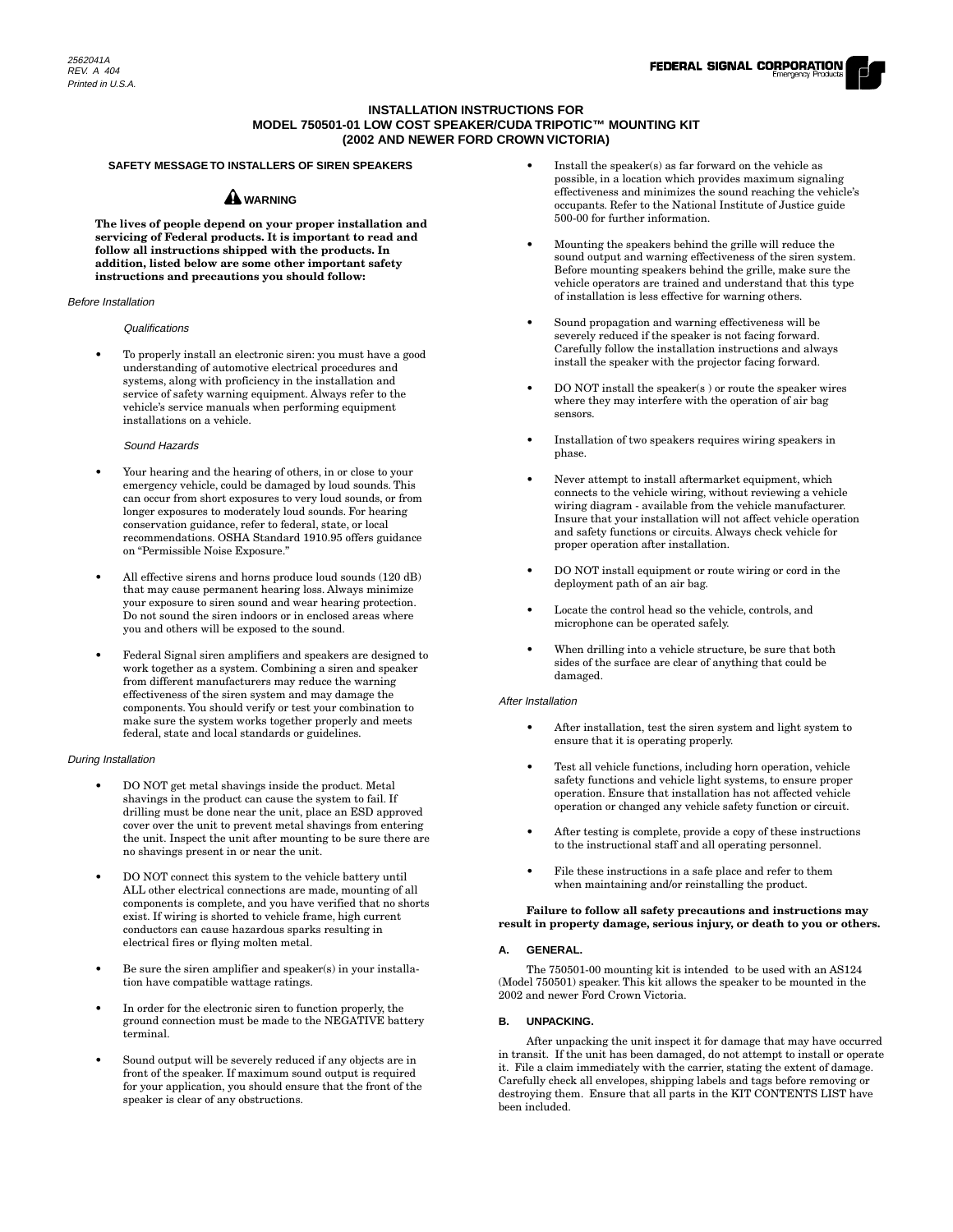# **INSTALLATION INSTRUCTIONS FOR MODEL 750501-01 LOW COST SPEAKER/CUDA TRIPOTIC™ MOUNTING KIT (2002 AND NEWER FORD CROWN VICTORIA)**

# **SAFETY MESSAGE TO INSTALLERS OF SIREN SPEAKERS**

# **A** WARNING

**The lives of people depend on your proper installation and servicing of Federal products. It is important to read and follow all instructions shipped with the products. In addition, listed below are some other important safety instructions and precautions you should follow:**

### Before Installation

### Qualifications

• To properly install an electronic siren: you must have a good understanding of automotive electrical procedures and systems, along with proficiency in the installation and service of safety warning equipment. Always refer to the vehicle's service manuals when performing equipment installations on a vehicle.

### Sound Hazards

- Your hearing and the hearing of others, in or close to your emergency vehicle, could be damaged by loud sounds. This can occur from short exposures to very loud sounds, or from longer exposures to moderately loud sounds. For hearing conservation guidance, refer to federal, state, or local recommendations. OSHA Standard 1910.95 offers guidance on "Permissible Noise Exposure."
- All effective sirens and horns produce loud sounds (120 dB) that may cause permanent hearing loss. Always minimize your exposure to siren sound and wear hearing protection. Do not sound the siren indoors or in enclosed areas where you and others will be exposed to the sound.
- Federal Signal siren amplifiers and speakers are designed to work together as a system. Combining a siren and speaker from different manufacturers may reduce the warning effectiveness of the siren system and may damage the components. You should verify or test your combination to make sure the system works together properly and meets federal, state and local standards or guidelines.

## During Installation

- DO NOT get metal shavings inside the product. Metal shavings in the product can cause the system to fail. If drilling must be done near the unit, place an ESD approved cover over the unit to prevent metal shavings from entering the unit. Inspect the unit after mounting to be sure there are no shavings present in or near the unit.
- DO NOT connect this system to the vehicle battery until ALL other electrical connections are made, mounting of all components is complete, and you have verified that no shorts exist. If wiring is shorted to vehicle frame, high current conductors can cause hazardous sparks resulting in electrical fires or flying molten metal.
- Be sure the siren amplifier and speaker(s) in your installation have compatible wattage ratings.
- In order for the electronic siren to function properly, the ground connection must be made to the NEGATIVE battery terminal.
- Sound output will be severely reduced if any objects are in front of the speaker. If maximum sound output is required for your application, you should ensure that the front of the speaker is clear of any obstructions.
- Install the speaker(s) as far forward on the vehicle as possible, in a location which provides maximum signaling effectiveness and minimizes the sound reaching the vehicle's occupants. Refer to the National Institute of Justice guide 500-00 for further information.
- Mounting the speakers behind the grille will reduce the sound output and warning effectiveness of the siren system. Before mounting speakers behind the grille, make sure the vehicle operators are trained and understand that this type of installation is less effective for warning others.
- Sound propagation and warning effectiveness will be severely reduced if the speaker is not facing forward. Carefully follow the installation instructions and always install the speaker with the projector facing forward.
- DO NOT install the speaker(s) or route the speaker wires where they may interfere with the operation of air bag sensors.
- Installation of two speakers requires wiring speakers in phase.
- Never attempt to install aftermarket equipment, which connects to the vehicle wiring, without reviewing a vehicle wiring diagram - available from the vehicle manufacturer. Insure that your installation will not affect vehicle operation and safety functions or circuits. Always check vehicle for proper operation after installation.
- DO NOT install equipment or route wiring or cord in the deployment path of an air bag.
- Locate the control head so the vehicle, controls, and microphone can be operated safely.
- When drilling into a vehicle structure, be sure that both sides of the surface are clear of anything that could be damaged.

#### After Installation

- After installation, test the siren system and light system to ensure that it is operating properly.
- Test all vehicle functions, including horn operation, vehicle safety functions and vehicle light systems, to ensure proper operation. Ensure that installation has not affected vehicle operation or changed any vehicle safety function or circuit.
- After testing is complete, provide a copy of these instructions to the instructional staff and all operating personnel.
- File these instructions in a safe place and refer to them when maintaining and/or reinstalling the product.

#### **Failure to follow all safety precautions and instructions may result in property damage, serious injury, or death to you or others.**

# **A.GENERAL.**

The 750501-00 mounting kit is intended to be used with an AS124 (Model 750501) speaker. This kit allows the speaker to be mounted in the 2002 and newer Ford Crown Victoria.

## **B.UNPACKING.**

After unpacking the unit inspect it for damage that may have occurred in transit. If the unit has been damaged, do not attempt to install or operate it. File a claim immediately with the carrier, stating the extent of damage. Carefully check all envelopes, shipping labels and tags before removing or destroying them. Ensure that all parts in the KIT CONTENTS LIST have been included.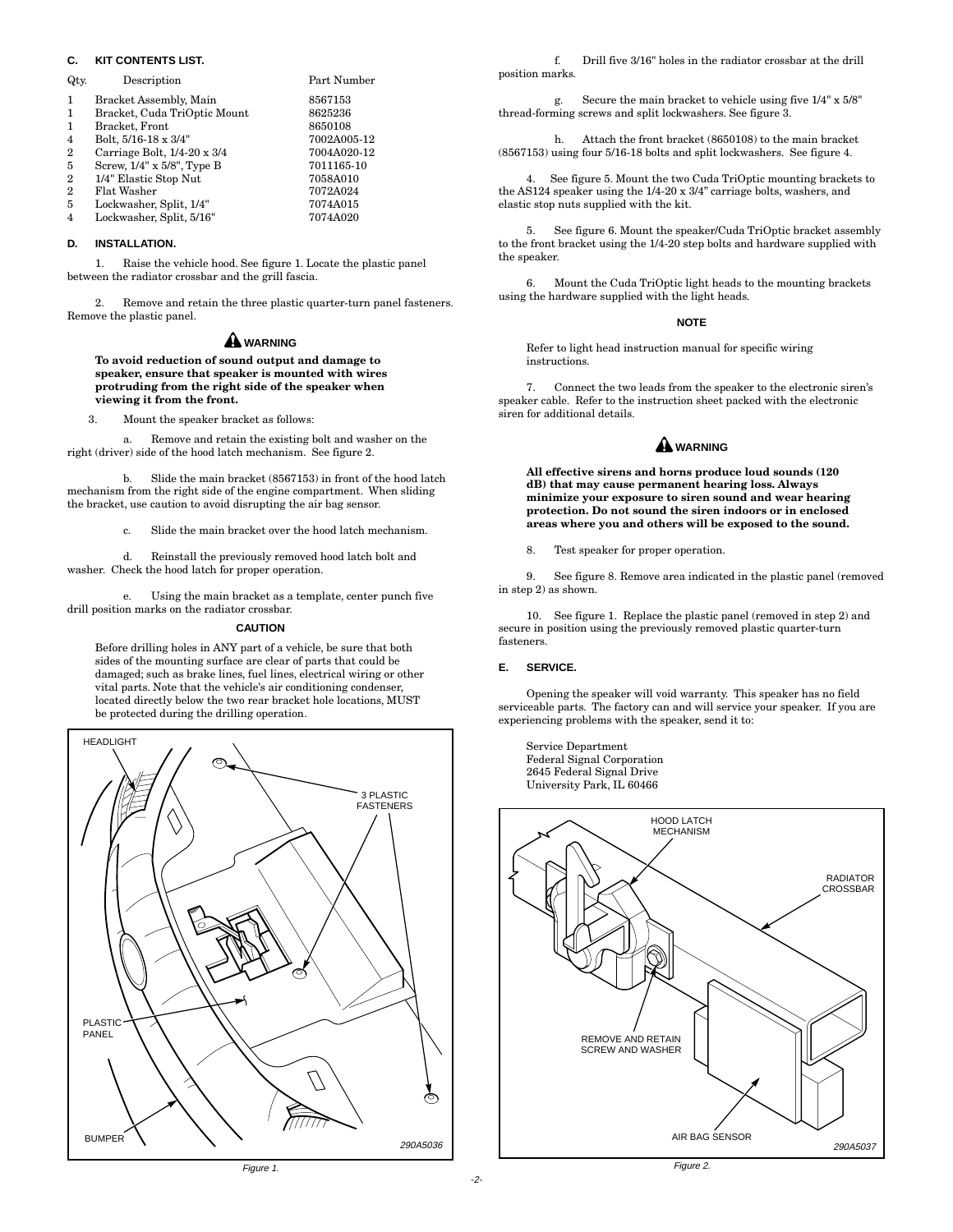# **C.KIT CONTENTS LIST.**

| Qty.           | Description                  | Part Number |
|----------------|------------------------------|-------------|
| $\mathbf{1}$   | Bracket Assembly, Main       | 8567153     |
| $\mathbf{1}$   | Bracket, Cuda TriOptic Mount | 8625236     |
| $\mathbf{1}$   | Bracket, Front               | 8650108     |
| $\overline{4}$ | Bolt, 5/16-18 x 3/4"         | 7002A005-12 |
| $\overline{2}$ | Carriage Bolt, 1/4-20 x 3/4  | 7004A020-12 |
| 5              | Screw, 1/4" x 5/8", Type B   | 7011165-10  |
| $\overline{2}$ | 1/4" Elastic Stop Nut        | 7058A010    |
| $\overline{2}$ | Flat Washer                  | 7072A024    |
| 5              | Lockwasher, Split, 1/4"      | 7074A015    |
| $\overline{4}$ | Lockwasher, Split, 5/16"     | 7074A020    |

#### **D.INSTALLATION.**

1. Raise the vehicle hood. See figure 1. Locate the plastic panel between the radiator crossbar and the grill fascia.

2. Remove and retain the three plastic quarter-turn panel fasteners. Remove the plastic panel.

# **WARNING**

**To avoid reduction of sound output and damage to speaker, ensure that speaker is mounted with wires protruding from the right side of the speaker when viewing it from the front.**

3. Mount the speaker bracket as follows:

a. Remove and retain the existing bolt and washer on the right (driver) side of the hood latch mechanism. See figure 2.

b. Slide the main bracket (8567153) in front of the hood latch mechanism from the right side of the engine compartment. When sliding the bracket, use caution to avoid disrupting the air bag sensor.

c. Slide the main bracket over the hood latch mechanism.

d. Reinstall the previously removed hood latch bolt and washer. Check the hood latch for proper operation.

e. Using the main bracket as a template, center punch five drill position marks on the radiator crossbar.

#### **CAUTION**

Before drilling holes in ANY part of a vehicle, be sure that both sides of the mounting surface are clear of parts that could be damaged; such as brake lines, fuel lines, electrical wiring or other vital parts. Note that the vehicle's air conditioning condenser, located directly below the two rear bracket hole locations, MUST be protected during the drilling operation.



f. Drill five 3/16" holes in the radiator crossbar at the drill position marks.

g. Secure the main bracket to vehicle using five 1/4" x 5/8" thread-forming screws and split lockwashers. See figure 3.

h. Attach the front bracket (8650108) to the main bracket (8567153) using four 5/16-18 bolts and split lockwashers. See figure 4.

4. See figure 5. Mount the two Cuda TriOptic mounting brackets to the AS124 speaker using the 1/4-20 x 3/4" carriage bolts, washers, and elastic stop nuts supplied with the kit.

5. See figure 6. Mount the speaker/Cuda TriOptic bracket assembly to the front bracket using the 1/4-20 step bolts and hardware supplied with the speaker.

6. Mount the Cuda TriOptic light heads to the mounting brackets using the hardware supplied with the light heads.

#### **NOTE**

Refer to light head instruction manual for specific wiring instructions.

7. Connect the two leads from the speaker to the electronic siren's speaker cable. Refer to the instruction sheet packed with the electronic siren for additional details.

# **WARNING**

**All effective sirens and horns produce loud sounds (120 dB) that may cause permanent hearing loss. Always minimize your exposure to siren sound and wear hearing protection. Do not sound the siren indoors or in enclosed areas where you and others will be exposed to the sound.**

8. Test speaker for proper operation.

9. See figure 8. Remove area indicated in the plastic panel (removed in step 2) as shown.

10. See figure 1. Replace the plastic panel (removed in step 2) and secure in position using the previously removed plastic quarter-turn fasteners.

### **E.SERVICE.**

Opening the speaker will void warranty. This speaker has no field serviceable parts. The factory can and will service your speaker. If you are experiencing problems with the speaker, send it to:

Service Department Federal Signal Corporation 2645 Federal Signal Drive University Park, IL 60466



Figure 1.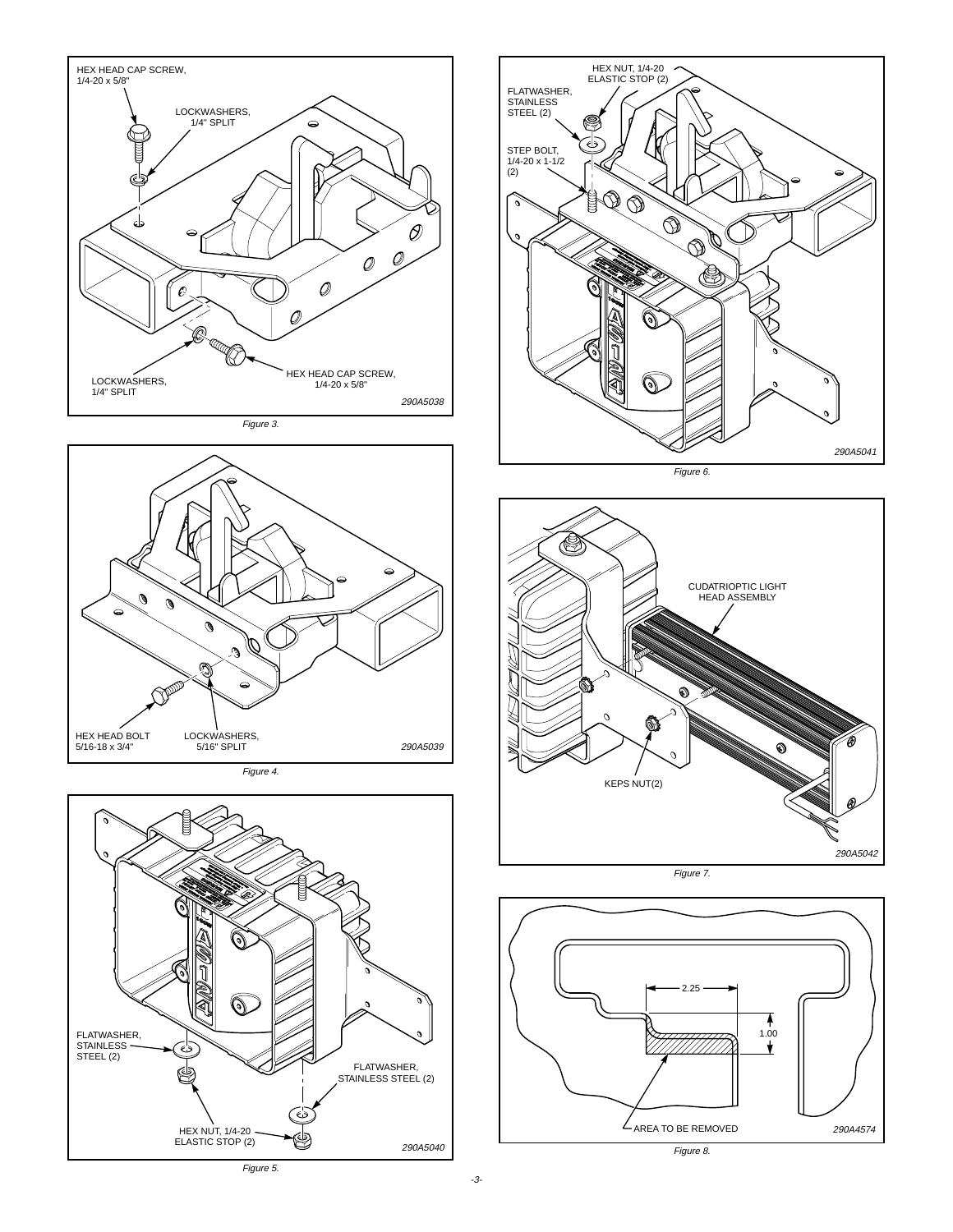

Figure 3.



Figure 4.





Figure 6.



Figure 7.